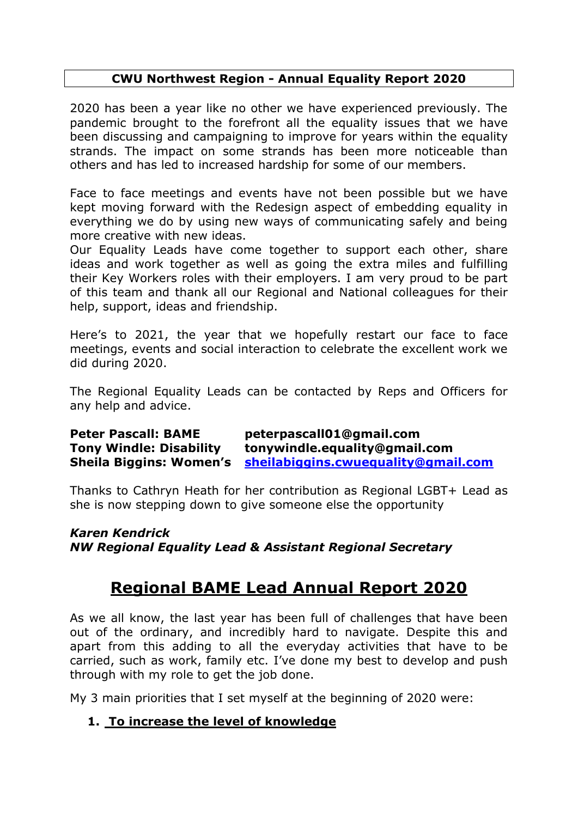#### **CWU Northwest Region - Annual Equality Report 2020**

2020 has been a year like no other we have experienced previously. The pandemic brought to the forefront all the equality issues that we have been discussing and campaigning to improve for years within the equality strands. The impact on some strands has been more noticeable than others and has led to increased hardship for some of our members.

Face to face meetings and events have not been possible but we have kept moving forward with the Redesign aspect of embedding equality in everything we do by using new ways of communicating safely and being more creative with new ideas.

Our Equality Leads have come together to support each other, share ideas and work together as well as going the extra miles and fulfilling their Key Workers roles with their employers. I am very proud to be part of this team and thank all our Regional and National colleagues for their help, support, ideas and friendship.

Here's to 2021, the year that we hopefully restart our face to face meetings, events and social interaction to celebrate the excellent work we did during 2020.

The Regional Equality Leads can be contacted by Reps and Officers for any help and advice.

**Peter Pascall: BAME peterpascall01@gmail.com Tony Windle: Disability tonywindle.equality@gmail.com Sheila Biggins: Women's [sheilabiggins.cwuequality@gmail.com](mailto:sheilabiggins.cwuequality@gmail.com)**

Thanks to Cathryn Heath for her contribution as Regional LGBT+ Lead as she is now stepping down to give someone else the opportunity

*Karen Kendrick NW Regional Equality Lead & Assistant Regional Secretary* 

# **Regional BAME Lead Annual Report 2020**

As we all know, the last year has been full of challenges that have been out of the ordinary, and incredibly hard to navigate. Despite this and apart from this adding to all the everyday activities that have to be carried, such as work, family etc. I've done my best to develop and push through with my role to get the job done.

My 3 main priorities that I set myself at the beginning of 2020 were:

## **1. To increase the level of knowledge**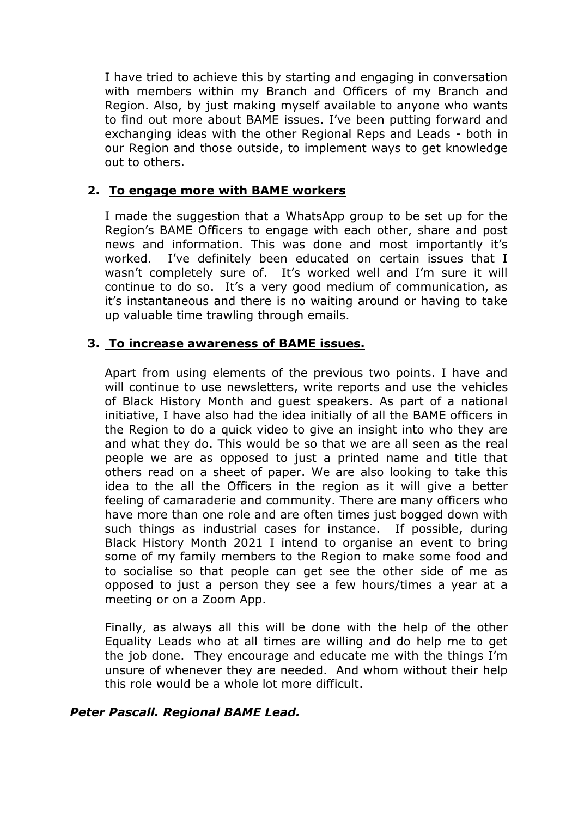I have tried to achieve this by starting and engaging in conversation with members within my Branch and Officers of my Branch and Region. Also, by just making myself available to anyone who wants to find out more about BAME issues. I've been putting forward and exchanging ideas with the other Regional Reps and Leads - both in our Region and those outside, to implement ways to get knowledge out to others.

#### **2. To engage more with BAME workers**

I made the suggestion that a WhatsApp group to be set up for the Region's BAME Officers to engage with each other, share and post news and information. This was done and most importantly it's worked. I've definitely been educated on certain issues that I wasn't completely sure of. It's worked well and I'm sure it will continue to do so. It's a very good medium of communication, as it's instantaneous and there is no waiting around or having to take up valuable time trawling through emails.

#### **3. To increase awareness of BAME issues.**

Apart from using elements of the previous two points. I have and will continue to use newsletters, write reports and use the vehicles of Black History Month and guest speakers. As part of a national initiative, I have also had the idea initially of all the BAME officers in the Region to do a quick video to give an insight into who they are and what they do. This would be so that we are all seen as the real people we are as opposed to just a printed name and title that others read on a sheet of paper. We are also looking to take this idea to the all the Officers in the region as it will give a better feeling of camaraderie and community. There are many officers who have more than one role and are often times just bogged down with such things as industrial cases for instance. If possible, during Black History Month 2021 I intend to organise an event to bring some of my family members to the Region to make some food and to socialise so that people can get see the other side of me as opposed to just a person they see a few hours/times a year at a meeting or on a Zoom App.

Finally, as always all this will be done with the help of the other Equality Leads who at all times are willing and do help me to get the job done. They encourage and educate me with the things I'm unsure of whenever they are needed. And whom without their help this role would be a whole lot more difficult.

## *Peter Pascall. Regional BAME Lead.*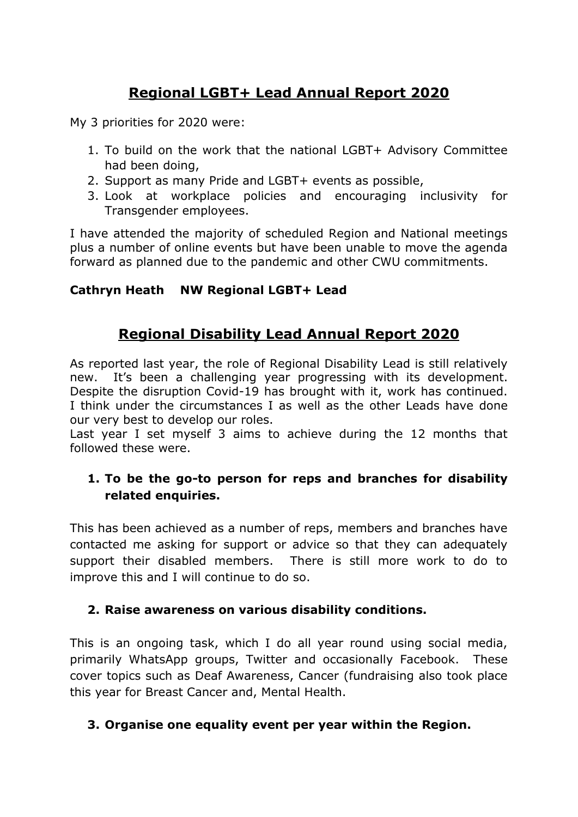# **Regional LGBT+ Lead Annual Report 2020**

My 3 priorities for 2020 were:

- 1. To build on the work that the national LGBT+ Advisory Committee had been doing,
- 2. Support as many Pride and LGBT+ events as possible,
- 3. Look at workplace policies and encouraging inclusivity for Transgender employees.

I have attended the majority of scheduled Region and National meetings plus a number of online events but have been unable to move the agenda forward as planned due to the pandemic and other CWU commitments.

## **Cathryn Heath NW Regional LGBT+ Lead**

## **Regional Disability Lead Annual Report 2020**

As reported last year, the role of Regional Disability Lead is still relatively new. It's been a challenging year progressing with its development. Despite the disruption Covid-19 has brought with it, work has continued. I think under the circumstances I as well as the other Leads have done our very best to develop our roles.

Last year I set myself 3 aims to achieve during the 12 months that followed these were.

## **1. To be the go-to person for reps and branches for disability related enquiries.**

This has been achieved as a number of reps, members and branches have contacted me asking for support or advice so that they can adequately support their disabled members. There is still more work to do to improve this and I will continue to do so.

## **2. Raise awareness on various disability conditions.**

This is an ongoing task, which I do all year round using social media, primarily WhatsApp groups, Twitter and occasionally Facebook. These cover topics such as Deaf Awareness, Cancer (fundraising also took place this year for Breast Cancer and, Mental Health.

## **3. Organise one equality event per year within the Region.**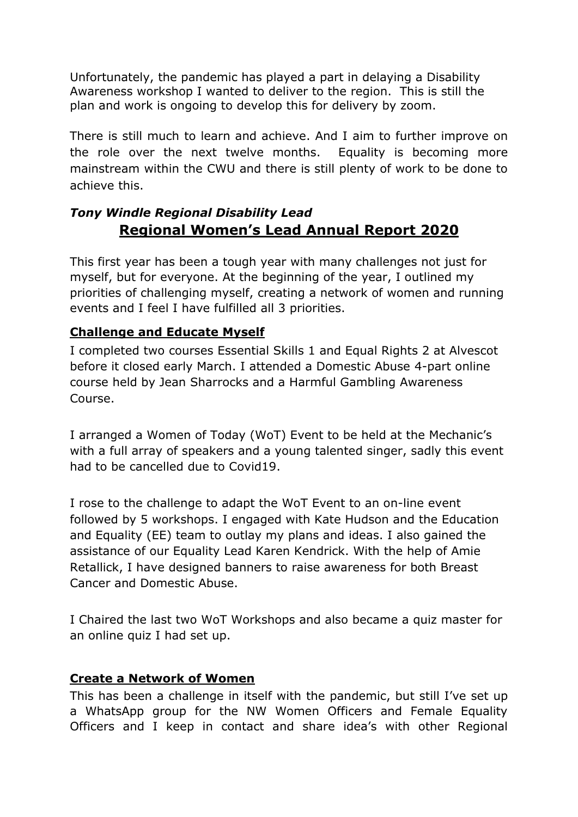Unfortunately, the pandemic has played a part in delaying a Disability Awareness workshop I wanted to deliver to the region. This is still the plan and work is ongoing to develop this for delivery by zoom.

There is still much to learn and achieve. And I aim to further improve on the role over the next twelve months. Equality is becoming more mainstream within the CWU and there is still plenty of work to be done to achieve this.

## *Tony Windle Regional Disability Lead* **Regional Women's Lead Annual Report 2020**

This first year has been a tough year with many challenges not just for myself, but for everyone. At the beginning of the year, I outlined my priorities of challenging myself, creating a network of women and running events and I feel I have fulfilled all 3 priorities.

## **Challenge and Educate Myself**

I completed two courses Essential Skills 1 and Equal Rights 2 at Alvescot before it closed early March. I attended a Domestic Abuse 4-part online course held by Jean Sharrocks and a Harmful Gambling Awareness Course.

I arranged a Women of Today (WoT) Event to be held at the Mechanic's with a full array of speakers and a young talented singer, sadly this event had to be cancelled due to Covid19.

I rose to the challenge to adapt the WoT Event to an on-line event followed by 5 workshops. I engaged with Kate Hudson and the Education and Equality (EE) team to outlay my plans and ideas. I also gained the assistance of our Equality Lead Karen Kendrick. With the help of Amie Retallick, I have designed banners to raise awareness for both Breast Cancer and Domestic Abuse.

I Chaired the last two WoT Workshops and also became a quiz master for an online quiz I had set up.

## **Create a Network of Women**

This has been a challenge in itself with the pandemic, but still I've set up a WhatsApp group for the NW Women Officers and Female Equality Officers and I keep in contact and share idea's with other Regional